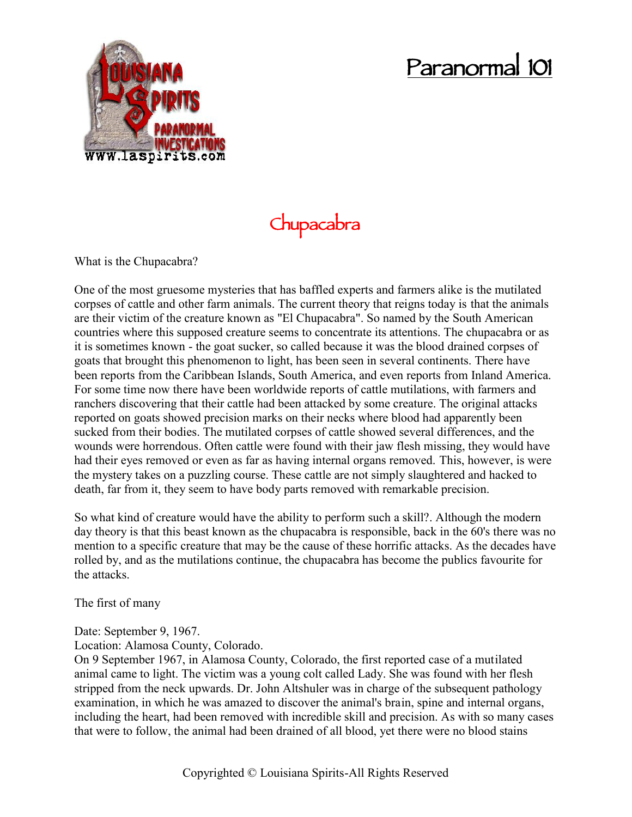# **Paranormal 101**



## **Chupacabra**

What is the Chupacabra?

One of the most gruesome mysteries that has baffled experts and farmers alike is the mutilated corpses of cattle and other farm animals. The current theory that reigns today is that the animals are their victim of the creature known as "El Chupacabra". So named by the South American countries where this supposed creature seems to concentrate its attentions. The chupacabra or as it is sometimes known - the goat sucker, so called because it was the blood drained corpses of goats that brought this phenomenon to light, has been seen in several continents. There have been reports from the Caribbean Islands, South America, and even reports from Inland America. For some time now there have been worldwide reports of cattle mutilations, with farmers and ranchers discovering that their cattle had been attacked by some creature. The original attacks reported on goats showed precision marks on their necks where blood had apparently been sucked from their bodies. The mutilated corpses of cattle showed several differences, and the wounds were horrendous. Often cattle were found with their jaw flesh missing, they would have had their eyes removed or even as far as having internal organs removed. This, however, is were the mystery takes on a puzzling course. These cattle are not simply slaughtered and hacked to death, far from it, they seem to have body parts removed with remarkable precision.

So what kind of creature would have the ability to perform such a skill?. Although the modern day theory is that this beast known as the chupacabra is responsible, back in the 60's there was no mention to a specific creature that may be the cause of these horrific attacks. As the decades have rolled by, and as the mutilations continue, the chupacabra has become the publics favourite for the attacks.

The first of many

Date: September 9, 1967.

Location: Alamosa County, Colorado.

On 9 September 1967, in Alamosa County, Colorado, the first reported case of a mutilated animal came to light. The victim was a young colt called Lady. She was found with her flesh stripped from the neck upwards. Dr. John Altshuler was in charge of the subsequent pathology examination, in which he was amazed to discover the animal's brain, spine and internal organs, including the heart, had been removed with incredible skill and precision. As with so many cases that were to follow, the animal had been drained of all blood, yet there were no blood stains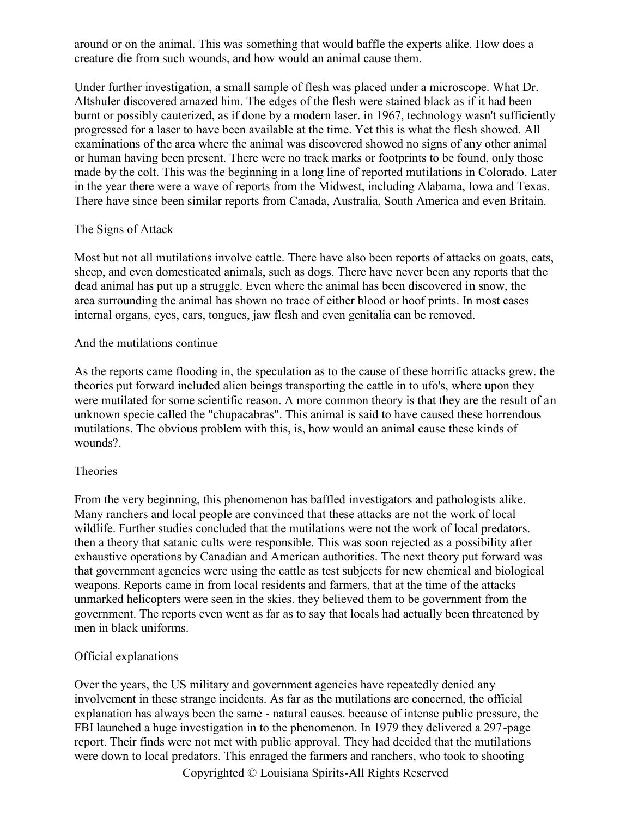around or on the animal. This was something that would baffle the experts alike. How does a creature die from such wounds, and how would an animal cause them.

Under further investigation, a small sample of flesh was placed under a microscope. What Dr. Altshuler discovered amazed him. The edges of the flesh were stained black as if it had been burnt or possibly cauterized, as if done by a modern laser. in 1967, technology wasn't sufficiently progressed for a laser to have been available at the time. Yet this is what the flesh showed. All examinations of the area where the animal was discovered showed no signs of any other animal or human having been present. There were no track marks or footprints to be found, only those made by the colt. This was the beginning in a long line of reported mutilations in Colorado. Later in the year there were a wave of reports from the Midwest, including Alabama, Iowa and Texas. There have since been similar reports from Canada, Australia, South America and even Britain.

#### The Signs of Attack

Most but not all mutilations involve cattle. There have also been reports of attacks on goats, cats, sheep, and even domesticated animals, such as dogs. There have never been any reports that the dead animal has put up a struggle. Even where the animal has been discovered in snow, the area surrounding the animal has shown no trace of either blood or hoof prints. In most cases internal organs, eyes, ears, tongues, jaw flesh and even genitalia can be removed.

#### And the mutilations continue

As the reports came flooding in, the speculation as to the cause of these horrific attacks grew. the theories put forward included alien beings transporting the cattle in to ufo's, where upon they were mutilated for some scientific reason. A more common theory is that they are the result of an unknown specie called the "chupacabras". This animal is said to have caused these horrendous mutilations. The obvious problem with this, is, how would an animal cause these kinds of wounds?.

### Theories

From the very beginning, this phenomenon has baffled investigators and pathologists alike. Many ranchers and local people are convinced that these attacks are not the work of local wildlife. Further studies concluded that the mutilations were not the work of local predators. then a theory that satanic cults were responsible. This was soon rejected as a possibility after exhaustive operations by Canadian and American authorities. The next theory put forward was that government agencies were using the cattle as test subjects for new chemical and biological weapons. Reports came in from local residents and farmers, that at the time of the attacks unmarked helicopters were seen in the skies. they believed them to be government from the government. The reports even went as far as to say that locals had actually been threatened by men in black uniforms.

#### Official explanations

Over the years, the US military and government agencies have repeatedly denied any involvement in these strange incidents. As far as the mutilations are concerned, the official explanation has always been the same - natural causes. because of intense public pressure, the FBI launched a huge investigation in to the phenomenon. In 1979 they delivered a 297-page report. Their finds were not met with public approval. They had decided that the mutilations were down to local predators. This enraged the farmers and ranchers, who took to shooting

Copyrighted © Louisiana Spirits-All Rights Reserved